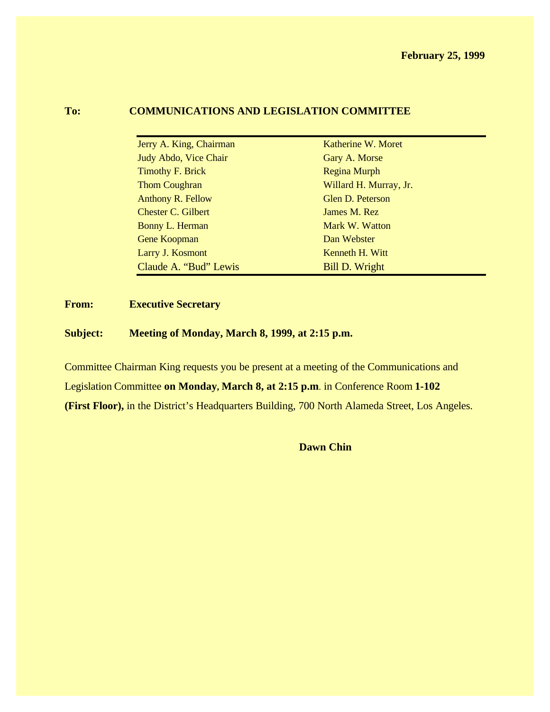#### **To: COMMUNICATIONS AND LEGISLATION COMMITTEE**

| Katherine W. Moret     |
|------------------------|
| Gary A. Morse          |
| <b>Regina Murph</b>    |
| Willard H. Murray, Jr. |
| Glen D. Peterson       |
| James M. Rez           |
| Mark W. Watton         |
| Dan Webster            |
| Kenneth H. Witt        |
| <b>Bill D. Wright</b>  |
|                        |

#### **From: Executive Secretary**

**Subject: Meeting of Monday, March 8, 1999, at 2:15 p.m.**

Committee Chairman King requests you be present at a meeting of the Communications and Legislation Committee **on Monday, March 8, at 2:15 p.m**. in Conference Room **1-102 (First Floor),** in the District's Headquarters Building, 700 North Alameda Street, Los Angeles.

**Dawn Chin**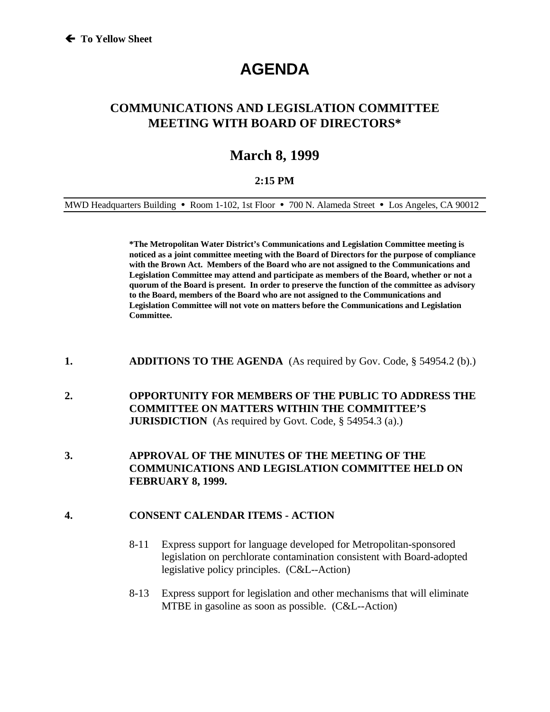# **AGENDA**

## **COMMUNICATIONS AND LEGISLATION COMMITTEE MEETING WITH BOARD OF DIRECTORS\***

# **March 8, 1999**

#### **2:15 PM**

MWD Headquarters Building • Room 1-102, 1st Floor • 700 N. Alameda Street • Los Angeles, CA 90012

**\*The Metropolitan Water District's Communications and Legislation Committee meeting is noticed as a joint committee meeting with the Board of Directors for the purpose of compliance with the Brown Act. Members of the Board who are not assigned to the Communications and Legislation Committee may attend and participate as members of the Board, whether or not a quorum of the Board is present. In order to preserve the function of the committee as advisory to the Board, members of the Board who are not assigned to the Communications and Legislation Committee will not vote on matters before the Communications and Legislation Committee.**

- **1. ADDITIONS TO THE AGENDA** (As required by Gov. Code, § 54954.2 (b).)
- **2. OPPORTUNITY FOR MEMBERS OF THE PUBLIC TO ADDRESS THE COMMITTEE ON MATTERS WITHIN THE COMMITTEE'S JURISDICTION** (As required by Govt. Code, § 54954.3 (a).)
- **3. APPROVAL OF THE MINUTES OF THE MEETING OF THE COMMUNICATIONS AND LEGISLATION COMMITTEE HELD ON FEBRUARY 8, 1999.**

#### **4. CONSENT CALENDAR ITEMS - ACTION**

- 8-11 Express support for language developed for Metropolitan-sponsored legislation on perchlorate contamination consistent with Board-adopted legislative policy principles. (C&L--Action)
- 8-13 Express support for legislation and other mechanisms that will eliminate MTBE in gasoline as soon as possible.(C&L--Action)